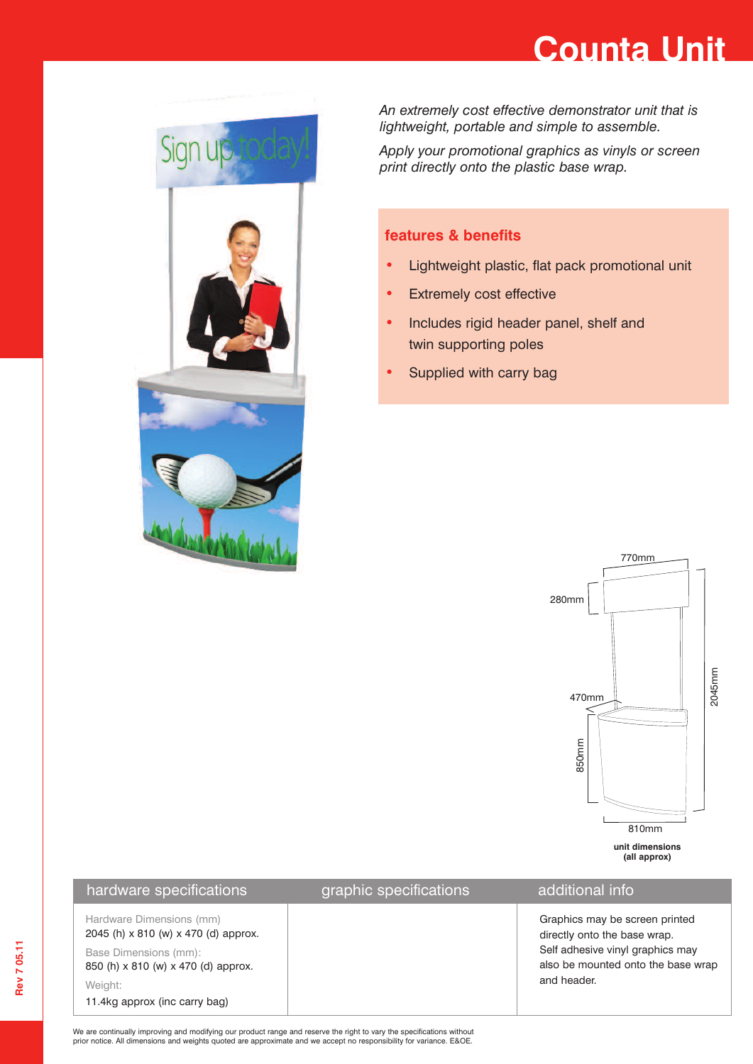## **Counta Unit**



*An extremely cost effective demonstrator unit that is lightweight, portable and simple to assemble.*

*Apply your promotional graphics as vinyls or screen print directly onto the plastic base wrap.*

### **features & benefits**

- **•** Lightweight plastic, flat pack promotional unit
- **•** Extremely cost effective
- **•** Includes rigid header panel, shelf and twin supporting poles
- **•** Supplied with carry bag



### hardware specifications example in graphic specifications additional info

Hardware Dimensions (mm)

Base Dimensions (mm): 850 (h) x 810 (w) x 470 (d) approx.

2045 (h) x 810 (w) x 470 (d) approx.

Weight:

11.4kg approx (inc carry bag)

Graphics may be screen printed directly onto the base wrap. Self adhesive vinyl graphics may also be mounted onto the base wrap and header.

We are continually improving and modifying our product range and reserve the right to vary the specifications without prior notice. All dimensions and weights quoted are approximate and we accept no responsibility for variance. E&OE.